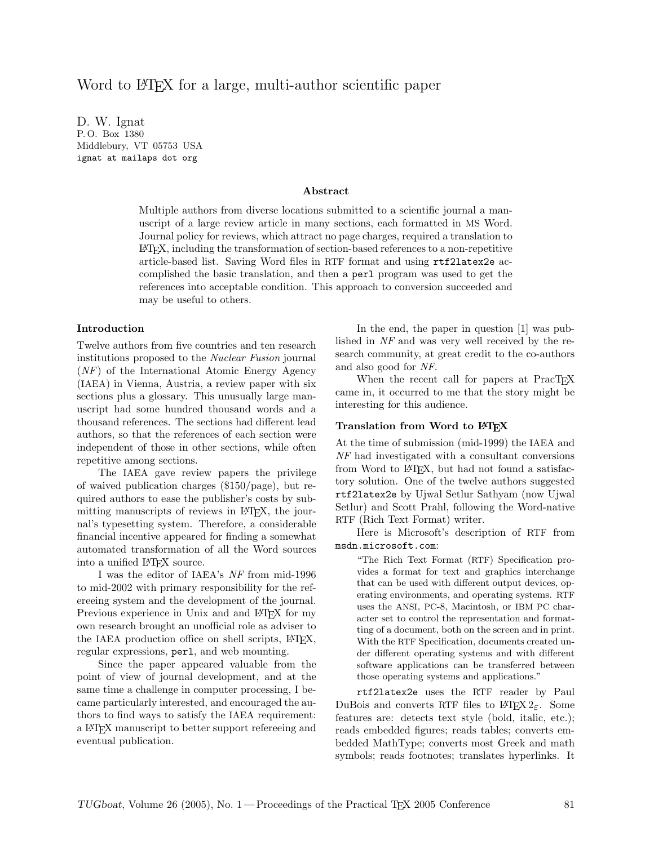# Word to LAT<sub>F</sub>X for a large, multi-author scientific paper

D. W. Ignat P. O. Box 1380 Middlebury, VT 05753 USA ignat at mailaps dot org

#### Abstract

Multiple authors from diverse locations submitted to a scientific journal a manuscript of a large review article in many sections, each formatted in MS Word. Journal policy for reviews, which attract no page charges, required a translation to LATEX, including the transformation of section-based references to a non-repetitive article-based list. Saving Word files in RTF format and using rtf2latex2e accomplished the basic translation, and then a perl program was used to get the references into acceptable condition. This approach to conversion succeeded and may be useful to others.

### Introduction

Twelve authors from five countries and ten research institutions proposed to the Nuclear Fusion journal (NF) of the International Atomic Energy Agency (IAEA) in Vienna, Austria, a review paper with six sections plus a glossary. This unusually large manuscript had some hundred thousand words and a thousand references. The sections had different lead authors, so that the references of each section were independent of those in other sections, while often repetitive among sections.

The IAEA gave review papers the privilege of waived publication charges (\$150/page), but required authors to ease the publisher's costs by submitting manuscripts of reviews in LAT<sub>EX</sub>, the journal's typesetting system. Therefore, a considerable financial incentive appeared for finding a somewhat automated transformation of all the Word sources into a unified IATEX source.

I was the editor of IAEA's NF from mid-1996 to mid-2002 with primary responsibility for the refereeing system and the development of the journal. Previous experience in Unix and and LAT<sub>EX</sub> for my own research brought an unofficial role as adviser to the IAEA production office on shell scripts, LAT<sub>E</sub>X, regular expressions, perl, and web mounting.

Since the paper appeared valuable from the point of view of journal development, and at the same time a challenge in computer processing, I became particularly interested, and encouraged the authors to find ways to satisfy the IAEA requirement: a LATEX manuscript to better support refereeing and eventual publication.

In the end, the paper in question [1] was published in NF and was very well received by the research community, at great credit to the co-authors and also good for NF.

When the recent call for papers at PracT<sub>EX</sub> came in, it occurred to me that the story might be interesting for this audience.

### Translation from Word to L<sup>AT</sup>EX

At the time of submission (mid-1999) the IAEA and NF had investigated with a consultant conversions from Word to L<sup>AT</sup>FX, but had not found a satisfactory solution. One of the twelve authors suggested rtf2latex2e by Ujwal Setlur Sathyam (now Ujwal Setlur) and Scott Prahl, following the Word-native RTF (Rich Text Format) writer.

Here is Microsoft's description of RTF from msdn.microsoft.com:

"The Rich Text Format (RTF) Specification provides a format for text and graphics interchange that can be used with different output devices, operating environments, and operating systems. RTF uses the ANSI, PC-8, Macintosh, or IBM PC character set to control the representation and formatting of a document, both on the screen and in print. With the RTF Specification, documents created under different operating systems and with different software applications can be transferred between those operating systems and applications."

rtf2latex2e uses the RTF reader by Paul DuBois and converts RTF files to LAT<sub>F</sub>X  $2_{\varepsilon}$ . Some features are: detects text style (bold, italic, etc.); reads embedded figures; reads tables; converts embedded MathType; converts most Greek and math symbols; reads footnotes; translates hyperlinks. It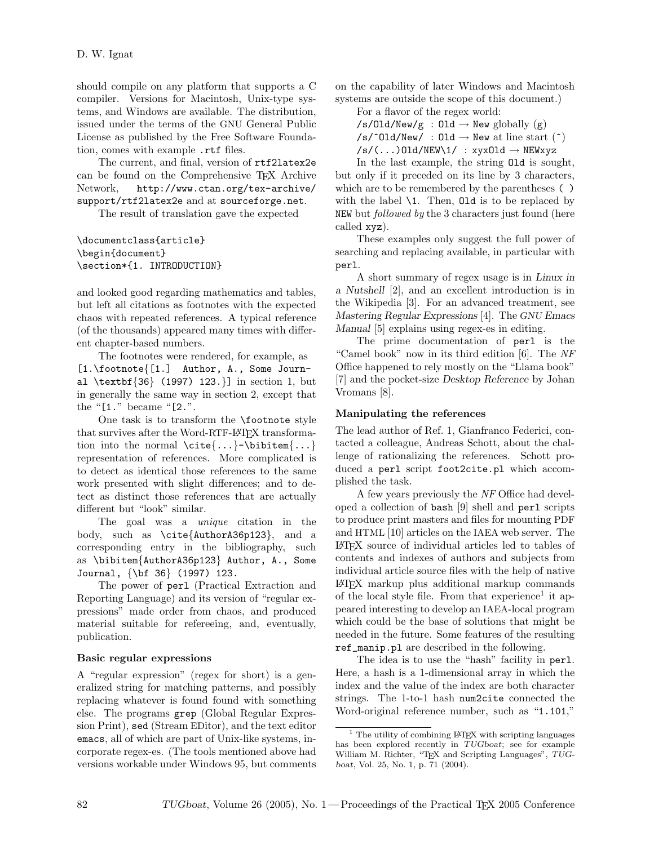should compile on any platform that supports a C compiler. Versions for Macintosh, Unix-type systems, and Windows are available. The distribution, issued under the terms of the GNU General Public License as published by the Free Software Foundation, comes with example .rtf files.

The current, and final, version of rtf2latex2e can be found on the Comprehensive TEX Archive Network, http://www.ctan.org/tex-archive/ support/rtf2latex2e and at sourceforge.net.

The result of translation gave the expected

# \documentclass{article} \begin{document} \section\*{1. INTRODUCTION}

and looked good regarding mathematics and tables, but left all citations as footnotes with the expected chaos with repeated references. A typical reference (of the thousands) appeared many times with different chapter-based numbers.

The footnotes were rendered, for example, as [1.\footnote{[1.] Author, A., Some Journal \textbf{36} (1997) 123.}] in section 1, but in generally the same way in section 2, except that the "[1." became "[2.".

One task is to transform the \footnote style that survives after the Word-RTF-LATEX transformation into the normal  $\cite\{...}-\bibitem{...}$ representation of references. More complicated is to detect as identical those references to the same work presented with slight differences; and to detect as distinct those references that are actually different but "look" similar.

The goal was a unique citation in the body, such as \cite{AuthorA36p123}, and a corresponding entry in the bibliography, such as \bibitem{AuthorA36p123} Author, A., Some Journal, {\bf 36} (1997) 123.

The power of perl (Practical Extraction and Reporting Language) and its version of "regular expressions" made order from chaos, and produced material suitable for refereeing, and, eventually, publication.

# Basic regular expressions

A "regular expression" (regex for short) is a generalized string for matching patterns, and possibly replacing whatever is found found with something else. The programs grep (Global Regular Expression Print), sed (Stream EDitor), and the text editor emacs, all of which are part of Unix-like systems, incorporate regex-es. (The tools mentioned above had versions workable under Windows 95, but comments

on the capability of later Windows and Macintosh systems are outside the scope of this document.)

For a flavor of the regex world:

 $/s/01d/New/g : 01d \rightarrow New globally (g)$  $/s$ /^Old/New/ : Old  $\rightarrow$  New at line start (^)  $/s/(\ldots)$ Old/NEW\1/ : xyxOld  $\rightarrow$  NEWxyz

In the last example, the string Old is sought, but only if it preceded on its line by 3 characters, which are to be remembered by the parentheses ( ) with the label  $\setminus$ 1. Then, 01d is to be replaced by NEW but *followed by* the 3 characters just found (here called xyz).

These examples only suggest the full power of searching and replacing available, in particular with perl.

A short summary of regex usage is in Linux in a Nutshell [2], and an excellent introduction is in the Wikipedia [3]. For an advanced treatment, see Mastering Regular Expressions [4]. The GNU Emacs Manual [5] explains using regex-es in editing.

The prime documentation of perl is the "Camel book" now in its third edition [6]. The NF Office happened to rely mostly on the "Llama book" [7] and the pocket-size Desktop Reference by Johan Vromans [8].

# Manipulating the references

The lead author of Ref. 1, Gianfranco Federici, contacted a colleague, Andreas Schott, about the challenge of rationalizing the references. Schott produced a perl script foot2cite.pl which accomplished the task.

A few years previously the NF Office had developed a collection of bash [9] shell and perl scripts to produce print masters and files for mounting PDF and HTML [10] articles on the IAEA web server. The LATEX source of individual articles led to tables of contents and indexes of authors and subjects from individual article source files with the help of native LATEX markup plus additional markup commands of the local style file. From that experience<sup>1</sup> it appeared interesting to develop an IAEA-local program which could be the base of solutions that might be needed in the future. Some features of the resulting ref\_manip.pl are described in the following.

The idea is to use the "hash" facility in perl. Here, a hash is a 1-dimensional array in which the index and the value of the index are both character strings. The 1-to-1 hash num2cite connected the Word-original reference number, such as "1.101,"

 $^{\rm 1}$  The utility of combining LATEX with scripting languages has been explored recently in TUGboat; see for example William M. Richter, "TEX and Scripting Languages", TUGboat, Vol. 25, No. 1, p. 71 (2004).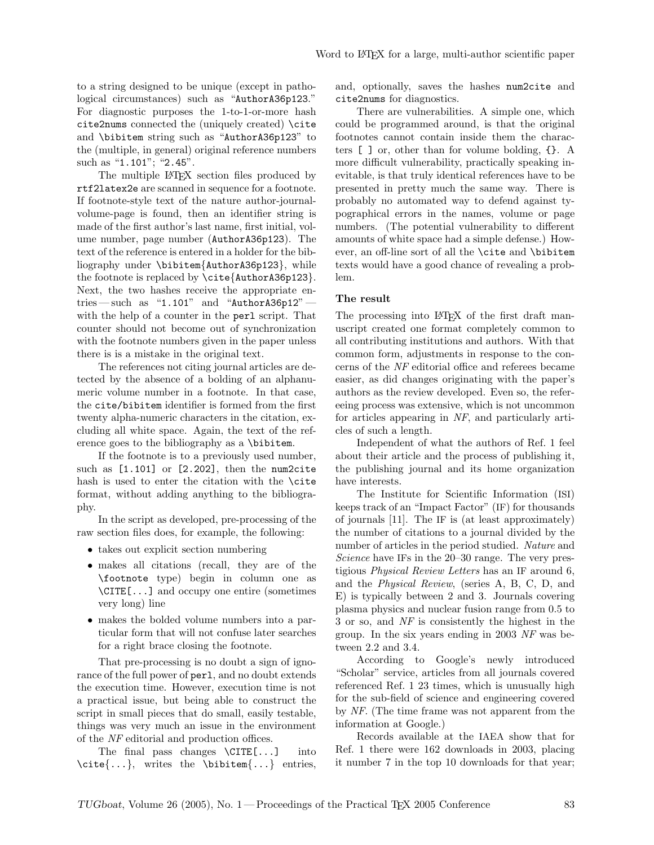to a string designed to be unique (except in pathological circumstances) such as "AuthorA36p123." For diagnostic purposes the 1-to-1-or-more hash cite2nums connected the (uniquely created) \cite and \bibitem string such as "AuthorA36p123" to the (multiple, in general) original reference numbers such as "1.101"; "2.45".

The multiple L<sup>AT</sup>EX section files produced by rtf2latex2e are scanned in sequence for a footnote. If footnote-style text of the nature author-journalvolume-page is found, then an identifier string is made of the first author's last name, first initial, volume number, page number (AuthorA36p123). The text of the reference is entered in a holder for the bibliography under \bibitem{AuthorA36p123}, while the footnote is replaced by \cite{AuthorA36p123}. Next, the two hashes receive the appropriate entries — such as "1.101" and "AuthorA36p12" with the help of a counter in the perl script. That counter should not become out of synchronization with the footnote numbers given in the paper unless there is is a mistake in the original text.

The references not citing journal articles are detected by the absence of a bolding of an alphanumeric volume number in a footnote. In that case, the cite/bibitem identifier is formed from the first twenty alpha-numeric characters in the citation, excluding all white space. Again, the text of the reference goes to the bibliography as a \bibitem.

If the footnote is to a previously used number, such as [1.101] or [2.202], then the num2cite hash is used to enter the citation with the \cite format, without adding anything to the bibliography.

In the script as developed, pre-processing of the raw section files does, for example, the following:

- takes out explicit section numbering
- makes all citations (recall, they are of the \footnote type) begin in column one as \CITE[...] and occupy one entire (sometimes very long) line
- makes the bolded volume numbers into a particular form that will not confuse later searches for a right brace closing the footnote.

That pre-processing is no doubt a sign of ignorance of the full power of perl, and no doubt extends the execution time. However, execution time is not a practical issue, but being able to construct the script in small pieces that do small, easily testable, things was very much an issue in the environment of the NF editorial and production offices.

The final pass changes \CITE[...] into \cite{...}, writes the \bibitem{...} entries, and, optionally, saves the hashes num2cite and cite2nums for diagnostics.

There are vulnerabilities. A simple one, which could be programmed around, is that the original footnotes cannot contain inside them the characters [ ] or, other than for volume bolding, {}. A more difficult vulnerability, practically speaking inevitable, is that truly identical references have to be presented in pretty much the same way. There is probably no automated way to defend against typographical errors in the names, volume or page numbers. (The potential vulnerability to different amounts of white space had a simple defense.) However, an off-line sort of all the \cite and \bibitem texts would have a good chance of revealing a problem.

### The result

The processing into IATEX of the first draft manuscript created one format completely common to all contributing institutions and authors. With that common form, adjustments in response to the concerns of the NF editorial office and referees became easier, as did changes originating with the paper's authors as the review developed. Even so, the refereeing process was extensive, which is not uncommon for articles appearing in NF, and particularly articles of such a length.

Independent of what the authors of Ref. 1 feel about their article and the process of publishing it, the publishing journal and its home organization have interests.

The Institute for Scientific Information (ISI) keeps track of an "Impact Factor" (IF) for thousands of journals [11]. The IF is (at least approximately) the number of citations to a journal divided by the number of articles in the period studied. Nature and Science have IFs in the 20–30 range. The very prestigious Physical Review Letters has an IF around 6, and the Physical Review, (series A, B, C, D, and E) is typically between 2 and 3. Journals covering plasma physics and nuclear fusion range from 0.5 to 3 or so, and NF is consistently the highest in the group. In the six years ending in 2003 NF was between 2.2 and 3.4.

According to Google's newly introduced "Scholar" service, articles from all journals covered referenced Ref. 1 23 times, which is unusually high for the sub-field of science and engineering covered by NF. (The time frame was not apparent from the information at Google.)

Records available at the IAEA show that for Ref. 1 there were 162 downloads in 2003, placing it number 7 in the top 10 downloads for that year;